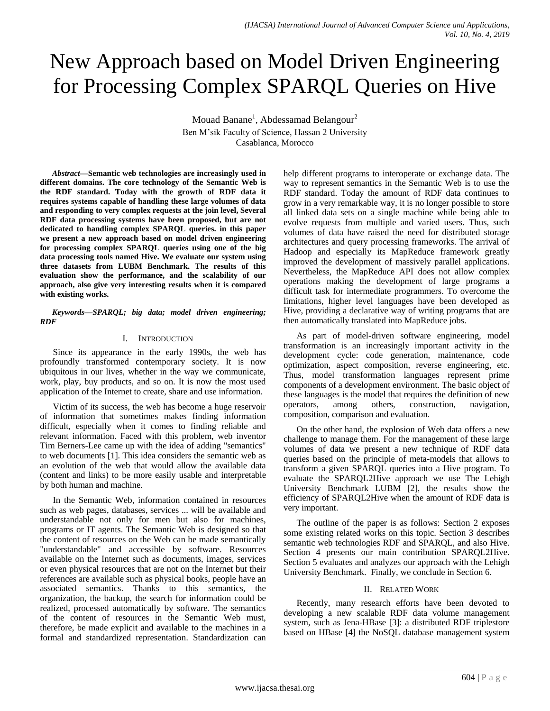# New Approach based on Model Driven Engineering for Processing Complex SPARQL Queries on Hive

Mouad Banane<sup>1</sup>, Abdessamad Belangour<sup>2</sup> Ben M'sik Faculty of Science, Hassan 2 University Casablanca, Morocco

*Abstract***—Semantic web technologies are increasingly used in different domains. The core technology of the Semantic Web is the RDF standard. Today with the growth of RDF data it requires systems capable of handling these large volumes of data and responding to very complex requests at the join level, Several RDF data processing systems have been proposed, but are not dedicated to handling complex SPARQL queries. in this paper we present a new approach based on model driven engineering for processing complex SPARQL queries using one of the big data processing tools named Hive. We evaluate our system using three datasets from LUBM Benchmark. The results of this evaluation show the performance, and the scalability of our approach, also give very interesting results when it is compared with existing works.**

*Keywords—SPARQL; big data; model driven engineering; RDF*

## I. INTRODUCTION

Since its appearance in the early 1990s, the web has profoundly transformed contemporary society. It is now ubiquitous in our lives, whether in the way we communicate, work, play, buy products, and so on. It is now the most used application of the Internet to create, share and use information.

Victim of its success, the web has become a huge reservoir of information that sometimes makes finding information difficult, especially when it comes to finding reliable and relevant information. Faced with this problem, web inventor Tim Berners-Lee came up with the idea of adding "semantics" to web documents [1]. This idea considers the semantic web as an evolution of the web that would allow the available data (content and links) to be more easily usable and interpretable by both human and machine.

In the Semantic Web, information contained in resources such as web pages, databases, services ... will be available and understandable not only for men but also for machines, programs or IT agents. The Semantic Web is designed so that the content of resources on the Web can be made semantically "understandable" and accessible by software. Resources available on the Internet such as documents, images, services or even physical resources that are not on the Internet but their references are available such as physical books, people have an associated semantics. Thanks to this semantics, the organization, the backup, the search for information could be realized, processed automatically by software. The semantics of the content of resources in the Semantic Web must, therefore, be made explicit and available to the machines in a formal and standardized representation. Standardization can help different programs to interoperate or exchange data. The way to represent semantics in the Semantic Web is to use the RDF standard. Today the amount of RDF data continues to grow in a very remarkable way, it is no longer possible to store all linked data sets on a single machine while being able to evolve requests from multiple and varied users. Thus, such volumes of data have raised the need for distributed storage architectures and query processing frameworks. The arrival of Hadoop and especially its MapReduce framework greatly improved the development of massively parallel applications. Nevertheless, the MapReduce API does not allow complex operations making the development of large programs a difficult task for intermediate programmers. To overcome the limitations, higher level languages have been developed as Hive, providing a declarative way of writing programs that are then automatically translated into MapReduce jobs.

As part of model-driven software engineering, model transformation is an increasingly important activity in the development cycle: code generation, maintenance, code optimization, aspect composition, reverse engineering, etc. Thus, model transformation languages represent prime components of a development environment. The basic object of these languages is the model that requires the definition of new operators, among others, construction, navigation, composition, comparison and evaluation.

On the other hand, the explosion of Web data offers a new challenge to manage them. For the management of these large volumes of data we present a new technique of RDF data queries based on the principle of meta-models that allows to transform a given SPARQL queries into a Hive program. To evaluate the SPARQL2Hive approach we use The Lehigh University Benchmark LUBM [2], the results show the efficiency of SPARQL2Hive when the amount of RDF data is very important.

The outline of the paper is as follows: Section 2 exposes some existing related works on this topic. Section 3 describes semantic web technologies RDF and SPARQL, and also Hive. Section 4 presents our main contribution SPARQL2Hive. Section 5 evaluates and analyzes our approach with the Lehigh University Benchmark. Finally, we conclude in Section 6.

#### II. RELATED WORK

Recently, many research efforts have been devoted to developing a new scalable RDF data volume management system, such as Jena-HBase [3]: a distributed RDF triplestore based on HBase [4] the NoSQL database management system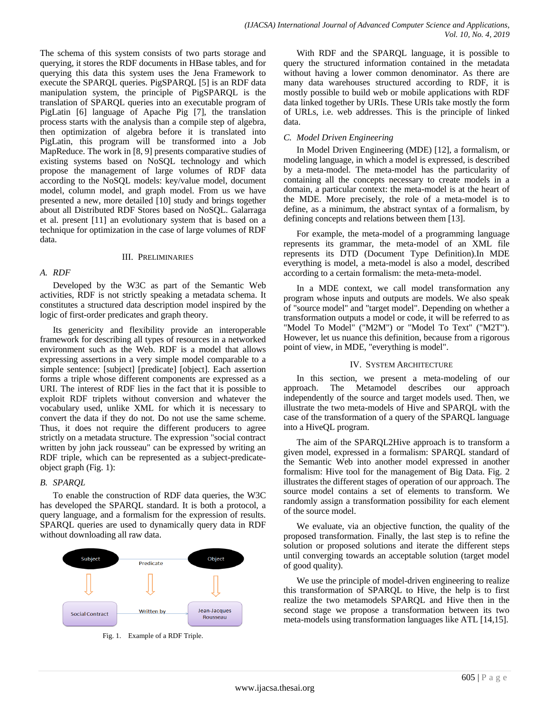The schema of this system consists of two parts storage and querying, it stores the RDF documents in HBase tables, and for querying this data this system uses the Jena Framework to execute the SPARQL queries. PigSPARQL [5] is an RDF data manipulation system, the principle of PigSPARQL is the translation of SPARQL queries into an executable program of PigLatin [6] language of Apache Pig [7], the translation process starts with the analysis than a compile step of algebra, then optimization of algebra before it is translated into PigLatin, this program will be transformed into a Job MapReduce. The work in [8, 9] presents comparative studies of existing systems based on NoSQL technology and which propose the management of large volumes of RDF data according to the NoSQL models: key/value model, document model, column model, and graph model. From us we have presented a new, more detailed [10] study and brings together about all Distributed RDF Stores based on NoSQL. Galarraga et al. present [11] an evolutionary system that is based on a technique for optimization in the case of large volumes of RDF data.

#### III. PRELIMINARIES

#### *A. RDF*

Developed by the W3C as part of the Semantic Web activities, RDF is not strictly speaking a metadata schema. It constitutes a structured data description model inspired by the logic of first-order predicates and graph theory.

Its genericity and flexibility provide an interoperable framework for describing all types of resources in a networked environment such as the Web. RDF is a model that allows expressing assertions in a very simple model comparable to a simple sentence: [subject] [predicate] [object]. Each assertion forms a triple whose different components are expressed as a URI. The interest of RDF lies in the fact that it is possible to exploit RDF triplets without conversion and whatever the vocabulary used, unlike XML for which it is necessary to convert the data if they do not. Do not use the same scheme. Thus, it does not require the different producers to agree strictly on a metadata structure. The expression "social contract written by john jack rousseau" can be expressed by writing an RDF triple, which can be represented as a subject-predicateobject graph (Fig. 1):

#### *B. SPARQL*

To enable the construction of RDF data queries, the W3C has developed the SPARQL standard. It is both a protocol, a query language, and a formalism for the expression of results. SPARQL queries are used to dynamically query data in RDF without downloading all raw data.



Fig. 1. Example of a RDF Triple.

With RDF and the SPARQL language, it is possible to query the structured information contained in the metadata without having a lower common denominator. As there are many data warehouses structured according to RDF, it is mostly possible to build web or mobile applications with RDF data linked together by URIs. These URIs take mostly the form of URLs, i.e. web addresses. This is the principle of linked data.

#### *C. Model Driven Engineering*

In Model Driven Engineering (MDE) [12], a formalism, or modeling language, in which a model is expressed, is described by a meta-model. The meta-model has the particularity of containing all the concepts necessary to create models in a domain, a particular context: the meta-model is at the heart of the MDE. More precisely, the role of a meta-model is to define, as a minimum, the abstract syntax of a formalism, by defining concepts and relations between them [13].

For example, the meta-model of a programming language represents its grammar, the meta-model of an XML file represents its DTD (Document Type Definition).In MDE everything is model, a meta-model is also a model, described according to a certain formalism: the meta-meta-model.

In a MDE context, we call model transformation any program whose inputs and outputs are models. We also speak of "source model" and "target model". Depending on whether a transformation outputs a model or code, it will be referred to as "Model To Model" ("M2M") or "Model To Text" ("M2T"). However, let us nuance this definition, because from a rigorous point of view, in MDE, "everything is model".

#### IV. SYSTEM ARCHITECTURE

In this section, we present a meta-modeling of our approach. The Metamodel describes our approach independently of the source and target models used. Then, we illustrate the two meta-models of Hive and SPARQL with the case of the transformation of a query of the SPARQL language into a HiveQL program.

The aim of the SPARQL2Hive approach is to transform a given model, expressed in a formalism: SPARQL standard of the Semantic Web into another model expressed in another formalism: Hive tool for the management of Big Data. Fig. 2 illustrates the different stages of operation of our approach. The source model contains a set of elements to transform. We randomly assign a transformation possibility for each element of the source model.

We evaluate, via an objective function, the quality of the proposed transformation. Finally, the last step is to refine the solution or proposed solutions and iterate the different steps until converging towards an acceptable solution (target model of good quality).

We use the principle of model-driven engineering to realize this transformation of SPARQL to Hive, the help is to first realize the two metamodels SPARQL and Hive then in the second stage we propose a transformation between its two meta-models using transformation languages like ATL [14,15].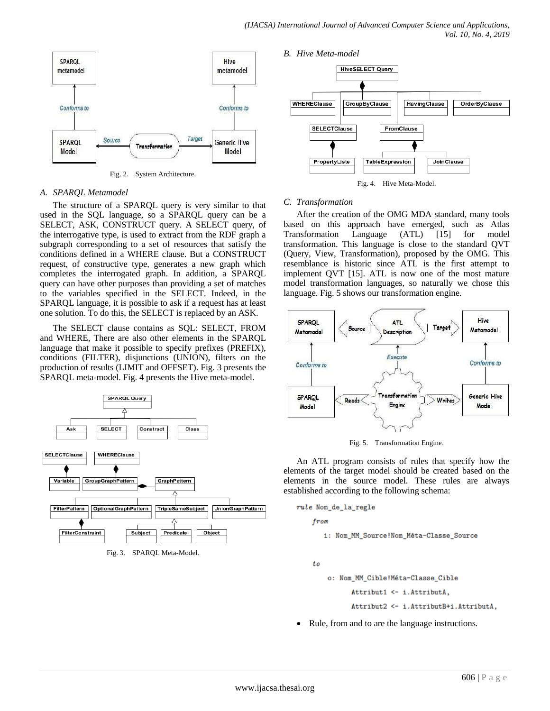

Fig. 2. System Architecture.

#### *A. SPARQL Metamodel*

The structure of a SPARQL query is very similar to that used in the SQL language, so a SPARQL query can be a SELECT, ASK, CONSTRUCT query. A SELECT query, of the interrogative type, is used to extract from the RDF graph a subgraph corresponding to a set of resources that satisfy the conditions defined in a WHERE clause. But a CONSTRUCT request, of constructive type, generates a new graph which completes the interrogated graph. In addition, a SPARQL query can have other purposes than providing a set of matches to the variables specified in the SELECT. Indeed, in the SPARQL language, it is possible to ask if a request has at least one solution. To do this, the SELECT is replaced by an ASK.

The SELECT clause contains as SQL: SELECT, FROM and WHERE, There are also other elements in the SPARQL language that make it possible to specify prefixes (PREFIX), conditions (FILTER), disjunctions (UNION), filters on the production of results (LIMIT and OFFSET). Fig. 3 presents the SPARQL meta-model. Fig. 4 presents the Hive meta-model.





## *C. Transformation*

After the creation of the OMG MDA standard, many tools based on this approach have emerged, such as Atlas Transformation Language (ATL) [15] for model transformation. This language is close to the standard QVT (Query, View, Transformation), proposed by the OMG. This resemblance is historic since ATL is the first attempt to implement QVT [15]. ATL is now one of the most mature model transformation languages, so naturally we chose this language. Fig. 5 shows our transformation engine.



Fig. 5. Transformation Engine.

An ATL program consists of rules that specify how the elements of the target model should be created based on the elements in the source model. These rules are always established according to the following schema:

from

i: Nom\_MM\_Source!Nom\_Méta-Classe\_Source

to

o: Nom\_MM\_Cible!Méta-Classe\_Cible

Attribut1 <- i.AttributA,

- Attribut2 <- i.AttributB+i.AttributA,
- Rule, from and to are the language instructions.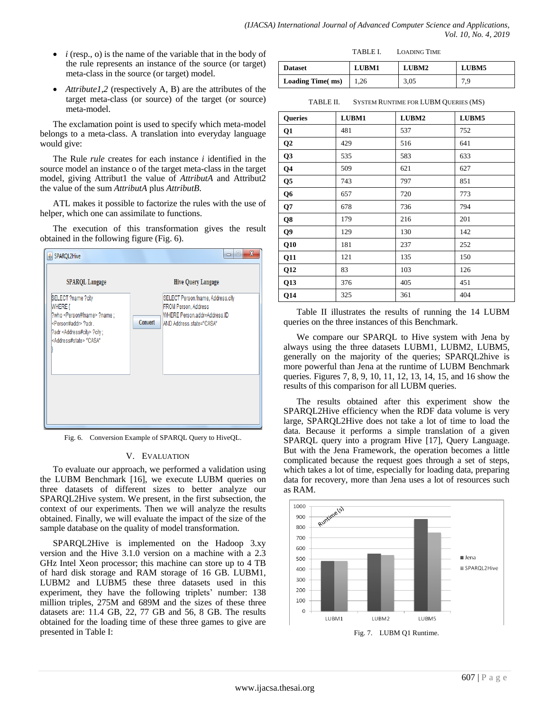- $\bullet$  *i* (resp., o) is the name of the variable that in the body of the rule represents an instance of the source (or target) meta-class in the source (or target) model.
- *Attribute1,2* (respectively A, B) are the attributes of the target meta-class (or source) of the target (or source) meta-model.

The exclamation point is used to specify which meta-model belongs to a meta-class. A translation into everyday language would give:

The Rule *rule* creates for each instance *i* identified in the source model an instance o of the target meta-class in the target model, giving Attribut1 the value of *AttributA* and Attribut2 the value of the sum *AttributA* plus *AttributB*.

ATL makes it possible to factorize the rules with the use of helper, which one can assimilate to functions.

The execution of this transformation gives the result obtained in the following figure (Fig. 6).



Fig. 6. Conversion Example of SPARQL Query to HiveQL.

#### V. EVALUATION

To evaluate our approach, we performed a validation using the LUBM Benchmark [16], we execute LUBM queries on three datasets of different sizes to better analyze our SPARQL2Hive system. We present, in the first subsection, the context of our experiments. Then we will analyze the results obtained. Finally, we will evaluate the impact of the size of the sample database on the quality of model transformation.

SPARQL2Hive is implemented on the Hadoop 3.xy version and the Hive 3.1.0 version on a machine with a 2.3 GHz Intel Xeon processor; this machine can store up to 4 TB of hard disk storage and RAM storage of 16 GB. LUBM1, LUBM2 and LUBM5 these three datasets used in this experiment, they have the following triplets' number: 138 million triples, 275M and 689M and the sizes of these three datasets are: 11.4 GB, 22, 77 GB and 56, 8 GB. The results obtained for the loading time of these three games to give are presented in Table I:

| <b>Dataset</b>          | <b>LUBM1</b> | LUBM2 | LUBM5 |
|-------------------------|--------------|-------|-------|
| <b>Loading Time(ms)</b> | 1,26         | 3,05  | 7,9   |

TABLE II. SYSTEM RUNTIME FOR LUBM QUERIES (MS)

| <b>Queries</b> | LUBM1 | LUBM2 | LUBM5 |
|----------------|-------|-------|-------|
| Q1             | 481   | 537   | 752   |
| Q <sub>2</sub> | 429   | 516   | 641   |
| Q <sub>3</sub> | 535   | 583   | 633   |
| Q <sub>4</sub> | 509   | 621   | 627   |
| Q5             | 743   | 797   | 851   |
| Q <sub>6</sub> | 657   | 720   | 773   |
| Q7             | 678   | 736   | 794   |
| Q8             | 179   | 216   | 201   |
| Q9             | 129   | 130   | 142   |
| Q10            | 181   | 237   | 252   |
| Q11            | 121   | 135   | 150   |
| Q12            | 83    | 103   | 126   |
| Q13            | 376   | 405   | 451   |
| Q14            | 325   | 361   | 404   |

Table II illustrates the results of running the 14 LUBM queries on the three instances of this Benchmark.

We compare our SPARQL to Hive system with Jena by always using the three datasets LUBM1, LUBM2, LUBM5, generally on the majority of the queries; SPARQL2hive is more powerful than Jena at the runtime of LUBM Benchmark queries. Figures 7, 8, 9, 10, 11, 12, 13, 14, 15, and 16 show the results of this comparison for all LUBM queries.

The results obtained after this experiment show the SPARQL2Hive efficiency when the RDF data volume is very large, SPARQL2Hive does not take a lot of time to load the data. Because it performs a simple translation of a given SPARQL query into a program Hive [17], Query Language. But with the Jena Framework, the operation becomes a little complicated because the request goes through a set of steps, which takes a lot of time, especially for loading data, preparing data for recovery, more than Jena uses a lot of resources such as RAM.



Fig. 7. LUBM Q1 Runtime.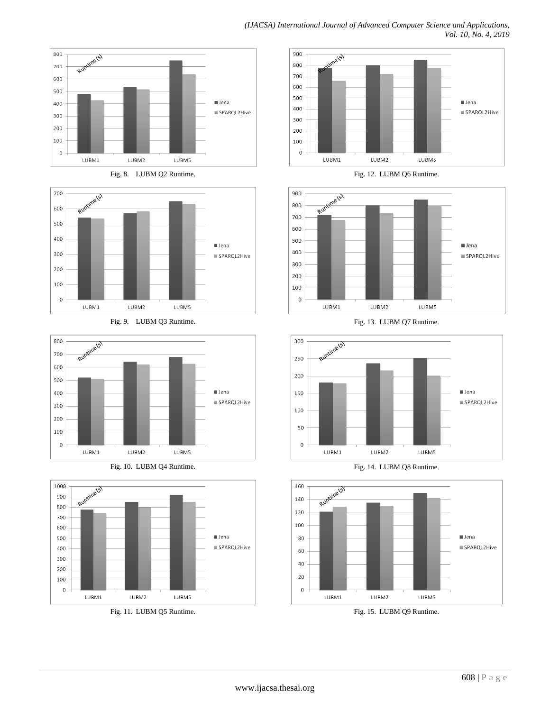







Fig. 9. LUBM Q3 Runtime.







Fig. 11. LUBM Q5 Runtime.





Fig. 13. LUBM Q7 Runtime.



Fig. 14. LUBM Q8 Runtime.



Fig. 15. LUBM Q9 Runtime.